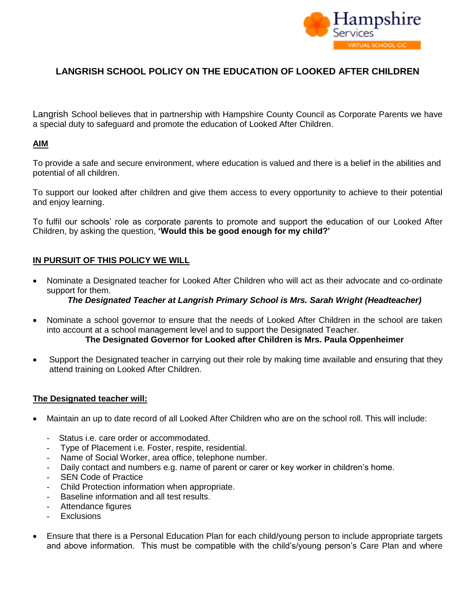

# **LANGRISH SCHOOL POLICY ON THE EDUCATION OF LOOKED AFTER CHILDREN**

Langrish School believes that in partnership with Hampshire County Council as Corporate Parents we have a special duty to safeguard and promote the education of Looked After Children.

## **AIM**

To provide a safe and secure environment, where education is valued and there is a belief in the abilities and potential of all children.

To support our looked after children and give them access to every opportunity to achieve to their potential and enjoy learning.

To fulfil our schools' role as corporate parents to promote and support the education of our Looked After Children, by asking the question, **'Would this be good enough for my child?'**

## **IN PURSUIT OF THIS POLICY WE WILL**

 Nominate a Designated teacher for Looked After Children who will act as their advocate and co-ordinate support for them.

## *The Designated Teacher at Langrish Primary School is Mrs. Sarah Wright (Headteacher)*

- Nominate a school governor to ensure that the needs of Looked After Children in the school are taken into account at a school management level and to support the Designated Teacher. **The Designated Governor for Looked after Children is Mrs. Paula Oppenheimer**
	-
- Support the Designated teacher in carrying out their role by making time available and ensuring that they attend training on Looked After Children.

#### **The Designated teacher will:**

- Maintain an up to date record of all Looked After Children who are on the school roll. This will include:
	- Status *i.e.* care order or accommodated.
	- Type of Placement i.e. Foster, respite, residential.
	- Name of Social Worker, area office, telephone number.
	- Daily contact and numbers e.g. name of parent or carer or key worker in children's home.
	- SEN Code of Practice
	- Child Protection information when appropriate.
	- Baseline information and all test results.
	- Attendance figures
	- **Exclusions**
- Ensure that there is a Personal Education Plan for each child/young person to include appropriate targets and above information. This must be compatible with the child's/young person's Care Plan and where